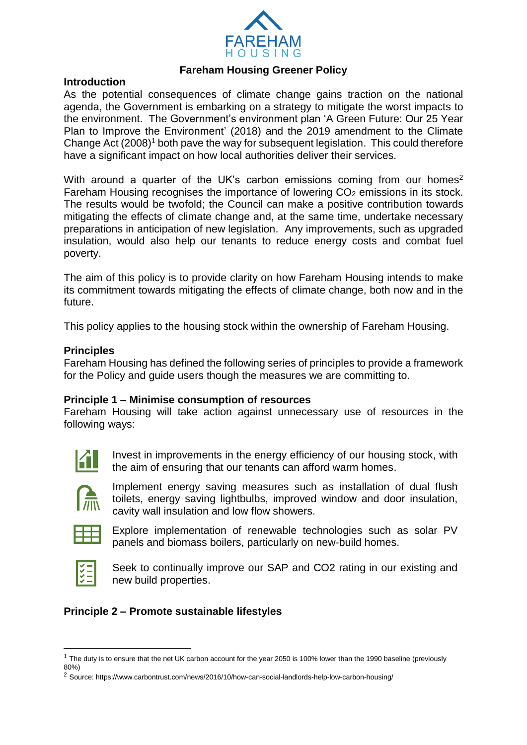

# **Fareham Housing Greener Policy**

#### **Introduction**

As the potential consequences of climate change gains traction on the national agenda, the Government is embarking on a strategy to mitigate the worst impacts to the environment. The Government's environment plan 'A Green Future: Our 25 Year Plan to Improve the Environment' (2018) and the 2019 amendment to the Climate Change Act (2008)<sup>1</sup> both pave the way for subsequent legislation. This could therefore have a significant impact on how local authorities deliver their services.

With around a quarter of the UK's carbon emissions coming from our homes<sup>2</sup> Fareham Housing recognises the importance of lowering CO<sub>2</sub> emissions in its stock. The results would be twofold; the Council can make a positive contribution towards mitigating the effects of climate change and, at the same time, undertake necessary preparations in anticipation of new legislation. Any improvements, such as upgraded insulation, would also help our tenants to reduce energy costs and combat fuel poverty.

The aim of this policy is to provide clarity on how Fareham Housing intends to make its commitment towards mitigating the effects of climate change, both now and in the future.

This policy applies to the housing stock within the ownership of Fareham Housing.

#### **Principles**

Fareham Housing has defined the following series of principles to provide a framework for the Policy and guide users though the measures we are committing to.

#### **Principle 1 – Minimise consumption of resources**

Fareham Housing will take action against unnecessary use of resources in the following ways:



Invest in improvements in the energy efficiency of our housing stock, with the aim of ensuring that our tenants can afford warm homes.



Implement energy saving measures such as installation of dual flush toilets, energy saving lightbulbs, improved window and door insulation, cavity wall insulation and low flow showers.



Explore implementation of renewable technologies such as solar PV panels and biomass boilers, particularly on new-build homes.



1

Seek to continually improve our SAP and CO2 rating in our existing and new build properties.

# **Principle 2 – Promote sustainable lifestyles**

<sup>&</sup>lt;sup>1</sup> The duty is to ensure that the net UK carbon account for the year 2050 is 100% lower than the 1990 baseline (previously 80%)

<sup>2</sup> Source: https://www.carbontrust.com/news/2016/10/how-can-social-landlords-help-low-carbon-housing/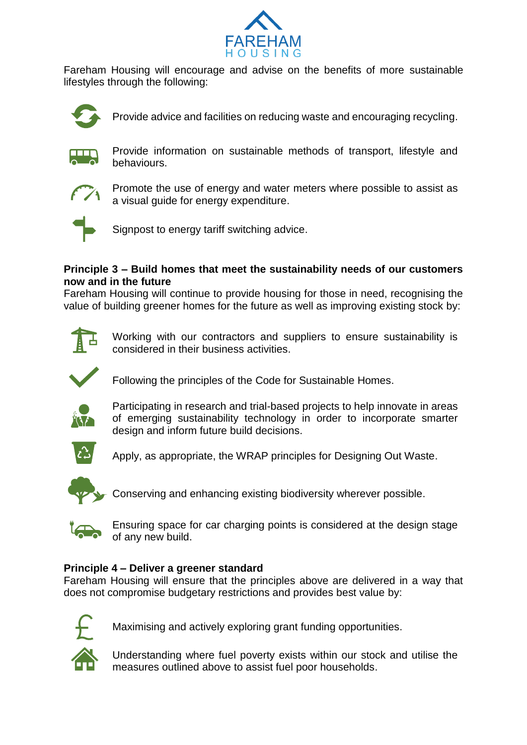

Fareham Housing will encourage and advise on the benefits of more sustainable lifestyles through the following:



Provide advice and facilities on reducing waste and encouraging recycling.



Provide information on sustainable methods of transport, lifestyle and behaviours.



Promote the use of energy and water meters where possible to assist as a visual guide for energy expenditure.



Signpost to energy tariff switching advice.

## **Principle 3 – Build homes that meet the sustainability needs of our customers now and in the future**

Fareham Housing will continue to provide housing for those in need, recognising the value of building greener homes for the future as well as improving existing stock by:



Working with our contractors and suppliers to ensure sustainability is considered in their business activities.



Following the principles of the Code for Sustainable Homes.



Participating in research and trial-based projects to help innovate in areas of emerging sustainability technology in order to incorporate smarter design and inform future build decisions.



Apply, as appropriate, the WRAP principles for Designing Out Waste.



Conserving and enhancing existing biodiversity wherever possible.



Ensuring space for car charging points is considered at the design stage of any new build.

# **Principle 4 – Deliver a greener standard**

Fareham Housing will ensure that the principles above are delivered in a way that does not compromise budgetary restrictions and provides best value by:



Maximising and actively exploring grant funding opportunities.

Understanding where fuel poverty exists within our stock and utilise the measures outlined above to assist fuel poor households.